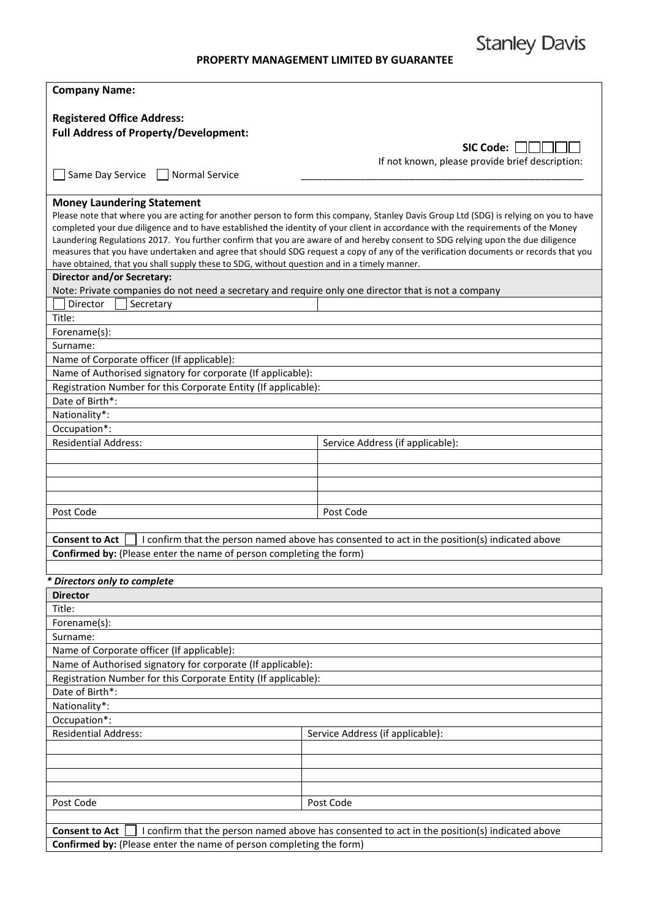## **PROPERTY MANAGEMENT LIMITED BY GUARANTEE**

| <b>Company Name:</b>                                                                                                             |                                                                                                                                                                                                                                                                                                                                                                                                             |  |
|----------------------------------------------------------------------------------------------------------------------------------|-------------------------------------------------------------------------------------------------------------------------------------------------------------------------------------------------------------------------------------------------------------------------------------------------------------------------------------------------------------------------------------------------------------|--|
| <b>Registered Office Address:</b>                                                                                                |                                                                                                                                                                                                                                                                                                                                                                                                             |  |
| <b>Full Address of Property/Development:</b>                                                                                     |                                                                                                                                                                                                                                                                                                                                                                                                             |  |
|                                                                                                                                  | SIC Code:                                                                                                                                                                                                                                                                                                                                                                                                   |  |
|                                                                                                                                  |                                                                                                                                                                                                                                                                                                                                                                                                             |  |
| Same Day Service<br>    Normal Service                                                                                           | If not known, please provide brief description:                                                                                                                                                                                                                                                                                                                                                             |  |
|                                                                                                                                  |                                                                                                                                                                                                                                                                                                                                                                                                             |  |
| <b>Money Laundering Statement</b>                                                                                                |                                                                                                                                                                                                                                                                                                                                                                                                             |  |
|                                                                                                                                  | Please note that where you are acting for another person to form this company, Stanley Davis Group Ltd (SDG) is relying on you to have                                                                                                                                                                                                                                                                      |  |
|                                                                                                                                  | completed your due diligence and to have established the identity of your client in accordance with the requirements of the Money<br>Laundering Regulations 2017. You further confirm that you are aware of and hereby consent to SDG relying upon the due diligence<br>measures that you have undertaken and agree that should SDG request a copy of any of the verification documents or records that you |  |
| have obtained, that you shall supply these to SDG, without question and in a timely manner.<br><b>Director and/or Secretary:</b> |                                                                                                                                                                                                                                                                                                                                                                                                             |  |
| Note: Private companies do not need a secretary and require only one director that is not a company                              |                                                                                                                                                                                                                                                                                                                                                                                                             |  |
| Director<br>Secretary                                                                                                            |                                                                                                                                                                                                                                                                                                                                                                                                             |  |
| Title:                                                                                                                           |                                                                                                                                                                                                                                                                                                                                                                                                             |  |
| Forename(s):                                                                                                                     |                                                                                                                                                                                                                                                                                                                                                                                                             |  |
| Surname:                                                                                                                         |                                                                                                                                                                                                                                                                                                                                                                                                             |  |
| Name of Corporate officer (If applicable):                                                                                       |                                                                                                                                                                                                                                                                                                                                                                                                             |  |
| Name of Authorised signatory for corporate (If applicable):                                                                      |                                                                                                                                                                                                                                                                                                                                                                                                             |  |
| Registration Number for this Corporate Entity (If applicable):                                                                   |                                                                                                                                                                                                                                                                                                                                                                                                             |  |
| Date of Birth*:                                                                                                                  |                                                                                                                                                                                                                                                                                                                                                                                                             |  |
|                                                                                                                                  |                                                                                                                                                                                                                                                                                                                                                                                                             |  |
| Nationality*:                                                                                                                    |                                                                                                                                                                                                                                                                                                                                                                                                             |  |
| Occupation*:                                                                                                                     |                                                                                                                                                                                                                                                                                                                                                                                                             |  |
| <b>Residential Address:</b>                                                                                                      | Service Address (if applicable):                                                                                                                                                                                                                                                                                                                                                                            |  |
|                                                                                                                                  |                                                                                                                                                                                                                                                                                                                                                                                                             |  |
|                                                                                                                                  |                                                                                                                                                                                                                                                                                                                                                                                                             |  |
|                                                                                                                                  |                                                                                                                                                                                                                                                                                                                                                                                                             |  |
| Post Code                                                                                                                        | Post Code                                                                                                                                                                                                                                                                                                                                                                                                   |  |
|                                                                                                                                  |                                                                                                                                                                                                                                                                                                                                                                                                             |  |
|                                                                                                                                  |                                                                                                                                                                                                                                                                                                                                                                                                             |  |
| <b>Consent to Act</b>                                                                                                            | I confirm that the person named above has consented to act in the position(s) indicated above                                                                                                                                                                                                                                                                                                               |  |
| Confirmed by: (Please enter the name of person completing the form)                                                              |                                                                                                                                                                                                                                                                                                                                                                                                             |  |
|                                                                                                                                  |                                                                                                                                                                                                                                                                                                                                                                                                             |  |
| * Directors only to complete                                                                                                     |                                                                                                                                                                                                                                                                                                                                                                                                             |  |
| <b>Director</b>                                                                                                                  |                                                                                                                                                                                                                                                                                                                                                                                                             |  |
| Title:                                                                                                                           |                                                                                                                                                                                                                                                                                                                                                                                                             |  |
| Forename(s):                                                                                                                     |                                                                                                                                                                                                                                                                                                                                                                                                             |  |
| Surname:                                                                                                                         |                                                                                                                                                                                                                                                                                                                                                                                                             |  |
| Name of Corporate officer (If applicable):                                                                                       |                                                                                                                                                                                                                                                                                                                                                                                                             |  |
| Name of Authorised signatory for corporate (If applicable):                                                                      |                                                                                                                                                                                                                                                                                                                                                                                                             |  |
|                                                                                                                                  | Registration Number for this Corporate Entity (If applicable):                                                                                                                                                                                                                                                                                                                                              |  |
| Date of Birth*:                                                                                                                  |                                                                                                                                                                                                                                                                                                                                                                                                             |  |
| Nationality*:                                                                                                                    |                                                                                                                                                                                                                                                                                                                                                                                                             |  |
| Occupation*:                                                                                                                     |                                                                                                                                                                                                                                                                                                                                                                                                             |  |
| <b>Residential Address:</b>                                                                                                      | Service Address (if applicable):                                                                                                                                                                                                                                                                                                                                                                            |  |
|                                                                                                                                  |                                                                                                                                                                                                                                                                                                                                                                                                             |  |
|                                                                                                                                  |                                                                                                                                                                                                                                                                                                                                                                                                             |  |
|                                                                                                                                  |                                                                                                                                                                                                                                                                                                                                                                                                             |  |
|                                                                                                                                  |                                                                                                                                                                                                                                                                                                                                                                                                             |  |
| Post Code                                                                                                                        | Post Code                                                                                                                                                                                                                                                                                                                                                                                                   |  |
|                                                                                                                                  |                                                                                                                                                                                                                                                                                                                                                                                                             |  |
| <b>Consent to Act</b><br>I confirm that the person named above has consented to act in the position(s) indicated above           |                                                                                                                                                                                                                                                                                                                                                                                                             |  |
| Confirmed by: (Please enter the name of person completing the form)                                                              |                                                                                                                                                                                                                                                                                                                                                                                                             |  |

**Stanley Davis**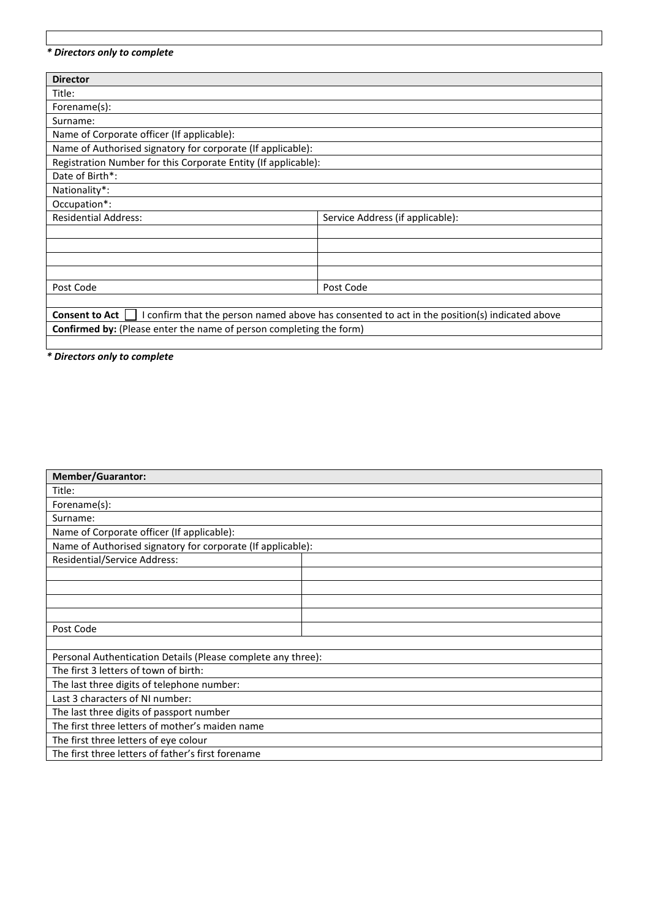## *\* Directors only to complete*

| <b>Director</b>                                                                                                        |                                  |
|------------------------------------------------------------------------------------------------------------------------|----------------------------------|
| Title:                                                                                                                 |                                  |
| Forename(s):                                                                                                           |                                  |
| Surname:                                                                                                               |                                  |
| Name of Corporate officer (If applicable):                                                                             |                                  |
| Name of Authorised signatory for corporate (If applicable):                                                            |                                  |
| Registration Number for this Corporate Entity (If applicable):                                                         |                                  |
| Date of Birth*:                                                                                                        |                                  |
| Nationality*:                                                                                                          |                                  |
| Occupation*:                                                                                                           |                                  |
| <b>Residential Address:</b>                                                                                            | Service Address (if applicable): |
|                                                                                                                        |                                  |
|                                                                                                                        |                                  |
|                                                                                                                        |                                  |
|                                                                                                                        |                                  |
| Post Code                                                                                                              | Post Code                        |
|                                                                                                                        |                                  |
| I confirm that the person named above has consented to act in the position(s) indicated above<br><b>Consent to Act</b> |                                  |
| <b>Confirmed by:</b> (Please enter the name of person completing the form)                                             |                                  |

*\* Directors only to complete*

| <b>Member/Guarantor:</b>                                     |  |
|--------------------------------------------------------------|--|
| Title:                                                       |  |
| Forename(s):                                                 |  |
| Surname:                                                     |  |
| Name of Corporate officer (If applicable):                   |  |
| Name of Authorised signatory for corporate (If applicable):  |  |
| <b>Residential/Service Address:</b>                          |  |
|                                                              |  |
|                                                              |  |
|                                                              |  |
|                                                              |  |
| Post Code                                                    |  |
|                                                              |  |
| Personal Authentication Details (Please complete any three): |  |
| The first 3 letters of town of birth:                        |  |
| The last three digits of telephone number:                   |  |
| Last 3 characters of NI number:                              |  |
| The last three digits of passport number                     |  |
| The first three letters of mother's maiden name              |  |
| The first three letters of eye colour                        |  |
| The first three letters of father's first forename           |  |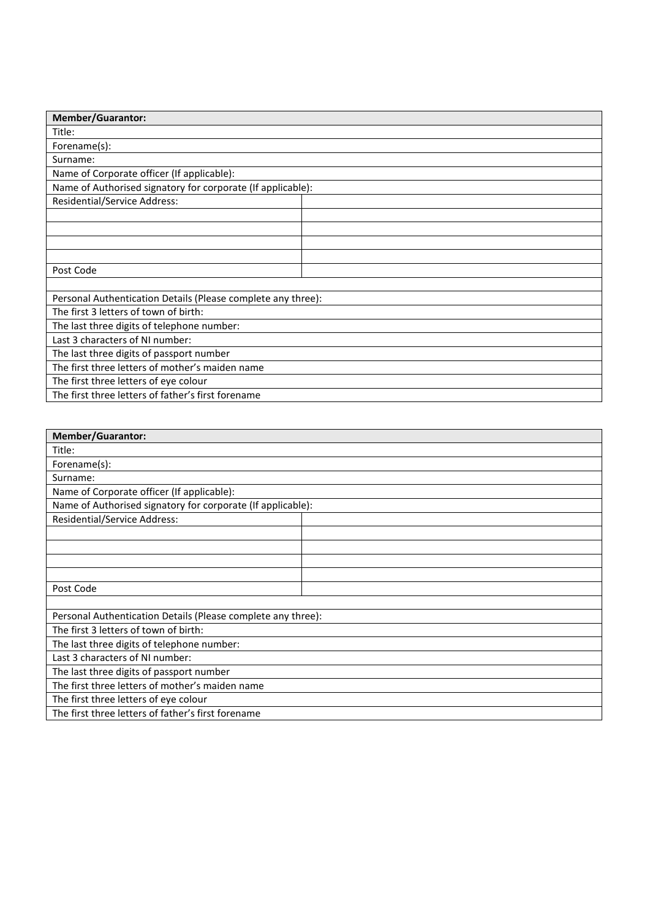| <b>Member/Guarantor:</b>                                     |  |
|--------------------------------------------------------------|--|
| Title:                                                       |  |
| Forename(s):                                                 |  |
| Surname:                                                     |  |
| Name of Corporate officer (If applicable):                   |  |
| Name of Authorised signatory for corporate (If applicable):  |  |
| <b>Residential/Service Address:</b>                          |  |
|                                                              |  |
|                                                              |  |
|                                                              |  |
|                                                              |  |
| Post Code                                                    |  |
|                                                              |  |
| Personal Authentication Details (Please complete any three): |  |
| The first 3 letters of town of birth:                        |  |
| The last three digits of telephone number:                   |  |
| Last 3 characters of NI number:                              |  |
| The last three digits of passport number                     |  |
| The first three letters of mother's maiden name              |  |
| The first three letters of eye colour                        |  |
| The first three letters of father's first forename           |  |

| <b>Member/Guarantor:</b>                                     |  |
|--------------------------------------------------------------|--|
| Title:                                                       |  |
| Forename(s):                                                 |  |
| Surname:                                                     |  |
| Name of Corporate officer (If applicable):                   |  |
| Name of Authorised signatory for corporate (If applicable):  |  |
| Residential/Service Address:                                 |  |
|                                                              |  |
|                                                              |  |
|                                                              |  |
|                                                              |  |
| Post Code                                                    |  |
|                                                              |  |
| Personal Authentication Details (Please complete any three): |  |
| The first 3 letters of town of birth:                        |  |
| The last three digits of telephone number:                   |  |
| Last 3 characters of NI number:                              |  |
| The last three digits of passport number                     |  |
| The first three letters of mother's maiden name              |  |
| The first three letters of eye colour                        |  |
| The first three letters of father's first forename           |  |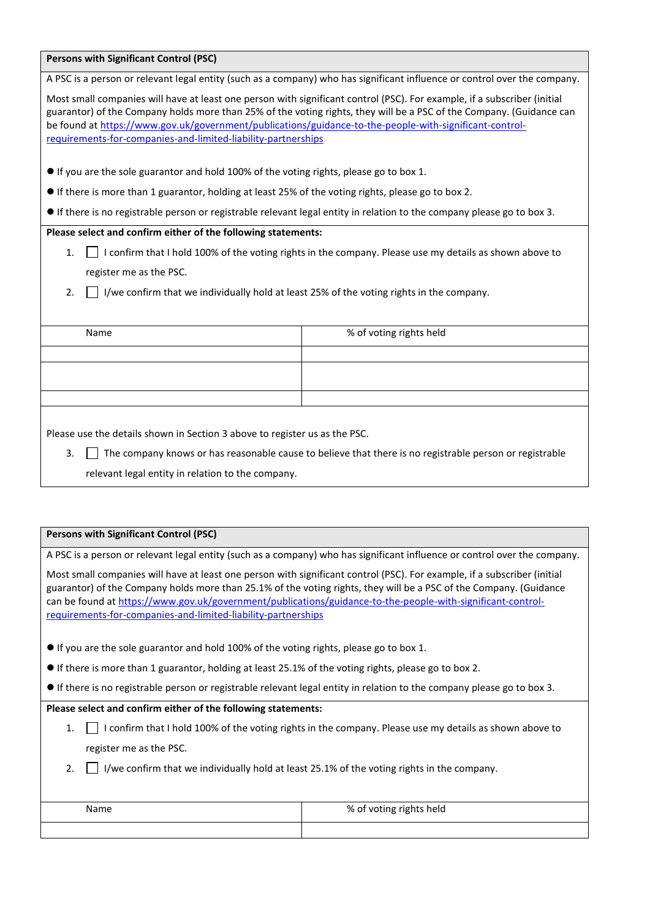| <b>Persons with Significant Control (PSC)</b>                                                                                                                                                                                                                                                                                                                                                                                |                                                                                                                           |  |
|------------------------------------------------------------------------------------------------------------------------------------------------------------------------------------------------------------------------------------------------------------------------------------------------------------------------------------------------------------------------------------------------------------------------------|---------------------------------------------------------------------------------------------------------------------------|--|
|                                                                                                                                                                                                                                                                                                                                                                                                                              | A PSC is a person or relevant legal entity (such as a company) who has significant influence or control over the company. |  |
| Most small companies will have at least one person with significant control (PSC). For example, if a subscriber (initial<br>guarantor) of the Company holds more than 25% of the voting rights, they will be a PSC of the Company. (Guidance can<br>be found at https://www.gov.uk/government/publications/guidance-to-the-people-with-significant-control-<br>requirements-for-companies-and-limited-liability-partnerships |                                                                                                                           |  |
| • If you are the sole guarantor and hold 100% of the voting rights, please go to box 1.                                                                                                                                                                                                                                                                                                                                      |                                                                                                                           |  |
| • If there is more than 1 guarantor, holding at least 25% of the voting rights, please go to box 2.                                                                                                                                                                                                                                                                                                                          |                                                                                                                           |  |
| • If there is no registrable person or registrable relevant legal entity in relation to the company please go to box 3.                                                                                                                                                                                                                                                                                                      |                                                                                                                           |  |
| Please select and confirm either of the following statements:                                                                                                                                                                                                                                                                                                                                                                |                                                                                                                           |  |
| I confirm that I hold 100% of the voting rights in the company. Please use my details as shown above to<br>1.                                                                                                                                                                                                                                                                                                                |                                                                                                                           |  |
| register me as the PSC.                                                                                                                                                                                                                                                                                                                                                                                                      |                                                                                                                           |  |
| I/we confirm that we individually hold at least 25% of the voting rights in the company.<br>2.                                                                                                                                                                                                                                                                                                                               |                                                                                                                           |  |
|                                                                                                                                                                                                                                                                                                                                                                                                                              |                                                                                                                           |  |
| Name                                                                                                                                                                                                                                                                                                                                                                                                                         | % of voting rights held                                                                                                   |  |
|                                                                                                                                                                                                                                                                                                                                                                                                                              |                                                                                                                           |  |
|                                                                                                                                                                                                                                                                                                                                                                                                                              |                                                                                                                           |  |
|                                                                                                                                                                                                                                                                                                                                                                                                                              |                                                                                                                           |  |
|                                                                                                                                                                                                                                                                                                                                                                                                                              |                                                                                                                           |  |
| Please use the details shown in Section 3 above to register us as the PSC.                                                                                                                                                                                                                                                                                                                                                   |                                                                                                                           |  |
| 3.<br>The company knows or has reasonable cause to believe that there is no registrable person or registrable                                                                                                                                                                                                                                                                                                                |                                                                                                                           |  |
| relevant legal entity in relation to the company.                                                                                                                                                                                                                                                                                                                                                                            |                                                                                                                           |  |
|                                                                                                                                                                                                                                                                                                                                                                                                                              |                                                                                                                           |  |
|                                                                                                                                                                                                                                                                                                                                                                                                                              |                                                                                                                           |  |
| <b>Persons with Significant Control (PSC)</b>                                                                                                                                                                                                                                                                                                                                                                                |                                                                                                                           |  |
| A PSC is a person or relevant legal entity (such as a company) who has significant influence or control over the company.                                                                                                                                                                                                                                                                                                    |                                                                                                                           |  |
| Most small companies will have at least one person with significant control (PSC). For example, if a subscriber (initial                                                                                                                                                                                                                                                                                                     |                                                                                                                           |  |

guarantor) of the Company holds more than 25.1% of the voting rights, they will be a PSC of the Company. (Guidance can be found a[t https://www.gov.uk/government/publications/guidance-to-the-people-with-significant-control](https://www.gov.uk/government/publications/guidance-to-the-people-with-significant-control-requirements-for-companies-and-limited-liability-partnerships)[requirements-for-companies-and-limited-liability-partnerships](https://www.gov.uk/government/publications/guidance-to-the-people-with-significant-control-requirements-for-companies-and-limited-liability-partnerships)

If you are the sole guarantor and hold 100% of the voting rights, please go to box 1.

If there is more than 1 guarantor, holding at least 25.1% of the voting rights, please go to box 2.

If there is no registrable person or registrable relevant legal entity in relation to the company please go to box 3.

**Please select and confirm either of the following statements:**

- 1. I confirm that I hold 100% of the voting rights in the company. Please use my details as shown above to register me as the PSC.
- 2.  $\Box$  I/we confirm that we individually hold at least 25.1% of the voting rights in the company.

| Name | % of voting rights held |
|------|-------------------------|
|      |                         |